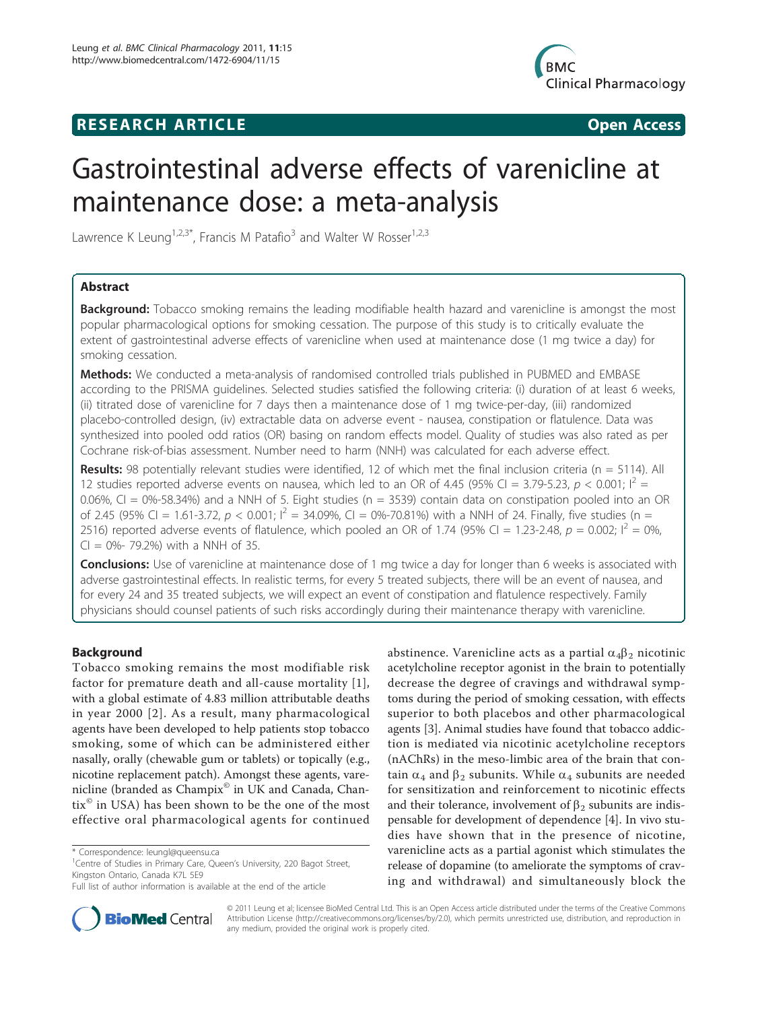## **RESEARCH ARTICLE Example 2018 CONSIDERING ACCESS**



# Gastrointestinal adverse effects of varenicline at maintenance dose: a meta-analysis

Lawrence K Leung<sup>1,2,3\*</sup>, Francis M Patafio<sup>3</sup> and Walter W Rosser<sup>1,2,3</sup>

## Abstract

**Background:** Tobacco smoking remains the leading modifiable health hazard and varenicline is amongst the most popular pharmacological options for smoking cessation. The purpose of this study is to critically evaluate the extent of gastrointestinal adverse effects of varenicline when used at maintenance dose (1 mg twice a day) for smoking cessation.

Methods: We conducted a meta-analysis of randomised controlled trials published in PUBMED and EMBASE according to the PRISMA guidelines. Selected studies satisfied the following criteria: (i) duration of at least 6 weeks, (ii) titrated dose of varenicline for 7 days then a maintenance dose of 1 mg twice-per-day, (iii) randomized placebo-controlled design, (iv) extractable data on adverse event - nausea, constipation or flatulence. Data was synthesized into pooled odd ratios (OR) basing on random effects model. Quality of studies was also rated as per Cochrane risk-of-bias assessment. Number need to harm (NNH) was calculated for each adverse effect.

Results: 98 potentially relevant studies were identified, 12 of which met the final inclusion criteria ( $n = 5114$ ). All 12 studies reported adverse events on nausea, which led to an OR of 4.45 (95% CI = 3.79-5.23,  $p < 0.001$ ;  $I^2$  = 0.06%, CI = 0%-58.34%) and a NNH of 5. Eight studies ( $n = 3539$ ) contain data on constipation pooled into an OR of 2.45 (95% CI = 1.61-3.72,  $p < 0.001$ ;  $I^2 = 34.09$ %, CI = 0%-70.81%) with a NNH of 24. Finally, five studies (n = 2516) reported adverse events of flatulence, which pooled an OR of 1.74 (95% CI = 1.23-2.48,  $p = 0.002$ ;  $I^2 = 0$ %,  $Cl = 0\% - 79.2\%$  with a NNH of 35.

**Conclusions:** Use of varenicline at maintenance dose of 1 mg twice a day for longer than 6 weeks is associated with adverse gastrointestinal effects. In realistic terms, for every 5 treated subjects, there will be an event of nausea, and for every 24 and 35 treated subjects, we will expect an event of constipation and flatulence respectively. Family physicians should counsel patients of such risks accordingly during their maintenance therapy with varenicline.

## Background

Tobacco smoking remains the most modifiable risk factor for premature death and all-cause mortality [[1\]](#page-6-0), with a global estimate of 4.83 million attributable deaths in year 2000 [[2\]](#page-6-0). As a result, many pharmacological agents have been developed to help patients stop tobacco smoking, some of which can be administered either nasally, orally (chewable gum or tablets) or topically (e.g., nicotine replacement patch). Amongst these agents, varenicline (branded as Champix<sup>®</sup> in UK and Canada, Chan- $\text{tix}^{\odot}$  in USA) has been shown to be the one of the most effective oral pharmacological agents for continued

Full list of author information is available at the end of the article





© 2011 Leung et al; licensee BioMed Central Ltd. This is an Open Access article distributed under the terms of the Creative Commons Attribution License [\(http://creativecommons.org/licenses/by/2.0](http://creativecommons.org/licenses/by/2.0)), which permits unrestricted use, distribution, and reproduction in any medium, provided the original work is properly cited.

<sup>\*</sup> Correspondence: [leungl@queensu.ca](mailto:leungl@queensu.ca)

<sup>&</sup>lt;sup>1</sup>Centre of Studies in Primary Care, Queen's University, 220 Bagot Street, Kingston Ontario, Canada K7L 5E9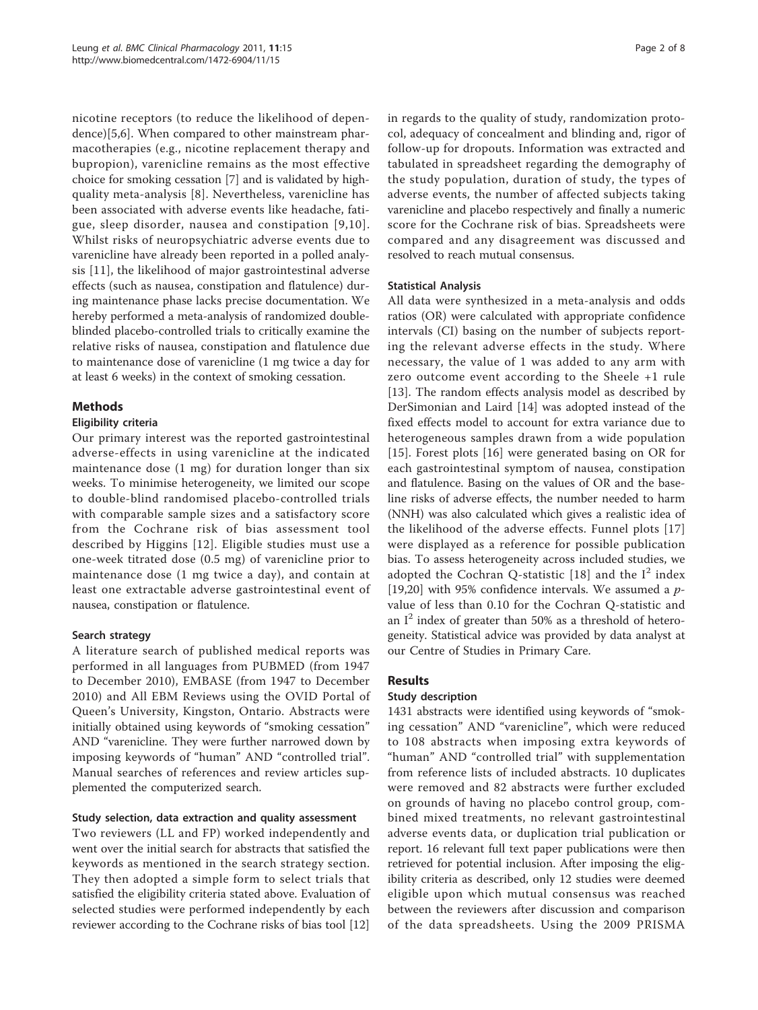nicotine receptors (to reduce the likelihood of dependence)[\[5](#page-6-0),[6\]](#page-6-0). When compared to other mainstream pharmacotherapies (e.g., nicotine replacement therapy and bupropion), varenicline remains as the most effective choice for smoking cessation [\[7\]](#page-6-0) and is validated by highquality meta-analysis [[8](#page-6-0)]. Nevertheless, varenicline has been associated with adverse events like headache, fatigue, sleep disorder, nausea and constipation [[9](#page-6-0),[10\]](#page-6-0). Whilst risks of neuropsychiatric adverse events due to varenicline have already been reported in a polled analysis [[11\]](#page-6-0), the likelihood of major gastrointestinal adverse effects (such as nausea, constipation and flatulence) during maintenance phase lacks precise documentation. We hereby performed a meta-analysis of randomized doubleblinded placebo-controlled trials to critically examine the relative risks of nausea, constipation and flatulence due to maintenance dose of varenicline (1 mg twice a day for at least 6 weeks) in the context of smoking cessation.

## Methods

## Eligibility criteria

Our primary interest was the reported gastrointestinal adverse-effects in using varenicline at the indicated maintenance dose (1 mg) for duration longer than six weeks. To minimise heterogeneity, we limited our scope to double-blind randomised placebo-controlled trials with comparable sample sizes and a satisfactory score from the Cochrane risk of bias assessment tool described by Higgins [[12](#page-6-0)]. Eligible studies must use a one-week titrated dose (0.5 mg) of varenicline prior to maintenance dose (1 mg twice a day), and contain at least one extractable adverse gastrointestinal event of nausea, constipation or flatulence.

## Search strategy

A literature search of published medical reports was performed in all languages from PUBMED (from 1947 to December 2010), EMBASE (from 1947 to December 2010) and All EBM Reviews using the OVID Portal of Queen's University, Kingston, Ontario. Abstracts were initially obtained using keywords of "smoking cessation" AND "varenicline. They were further narrowed down by imposing keywords of "human" AND "controlled trial". Manual searches of references and review articles supplemented the computerized search.

## Study selection, data extraction and quality assessment

Two reviewers (LL and FP) worked independently and went over the initial search for abstracts that satisfied the keywords as mentioned in the search strategy section. They then adopted a simple form to select trials that satisfied the eligibility criteria stated above. Evaluation of selected studies were performed independently by each reviewer according to the Cochrane risks of bias tool [[12](#page-6-0)] in regards to the quality of study, randomization protocol, adequacy of concealment and blinding and, rigor of follow-up for dropouts. Information was extracted and tabulated in spreadsheet regarding the demography of the study population, duration of study, the types of adverse events, the number of affected subjects taking varenicline and placebo respectively and finally a numeric score for the Cochrane risk of bias. Spreadsheets were compared and any disagreement was discussed and resolved to reach mutual consensus.

#### Statistical Analysis

All data were synthesized in a meta-analysis and odds ratios (OR) were calculated with appropriate confidence intervals (CI) basing on the number of subjects reporting the relevant adverse effects in the study. Where necessary, the value of 1 was added to any arm with zero outcome event according to the Sheele +1 rule [[13\]](#page-6-0). The random effects analysis model as described by DerSimonian and Laird [[14\]](#page-6-0) was adopted instead of the fixed effects model to account for extra variance due to heterogeneous samples drawn from a wide population [[15\]](#page-6-0). Forest plots [[16\]](#page-6-0) were generated basing on OR for each gastrointestinal symptom of nausea, constipation and flatulence. Basing on the values of OR and the baseline risks of adverse effects, the number needed to harm (NNH) was also calculated which gives a realistic idea of the likelihood of the adverse effects. Funnel plots [[17](#page-6-0)] were displayed as a reference for possible publication bias. To assess heterogeneity across included studies, we adopted the Cochran Q-statistic [[18](#page-6-0)] and the  $I^2$  index [[19,20\]](#page-6-0) with 95% confidence intervals. We assumed a  $p$ value of less than 0.10 for the Cochran Q-statistic and an  $I^2$  index of greater than 50% as a threshold of heterogeneity. Statistical advice was provided by data analyst at our Centre of Studies in Primary Care.

## Results

## Study description

1431 abstracts were identified using keywords of "smoking cessation" AND "varenicline", which were reduced to 108 abstracts when imposing extra keywords of "human" AND "controlled trial" with supplementation from reference lists of included abstracts. 10 duplicates were removed and 82 abstracts were further excluded on grounds of having no placebo control group, combined mixed treatments, no relevant gastrointestinal adverse events data, or duplication trial publication or report. 16 relevant full text paper publications were then retrieved for potential inclusion. After imposing the eligibility criteria as described, only 12 studies were deemed eligible upon which mutual consensus was reached between the reviewers after discussion and comparison of the data spreadsheets. Using the 2009 PRISMA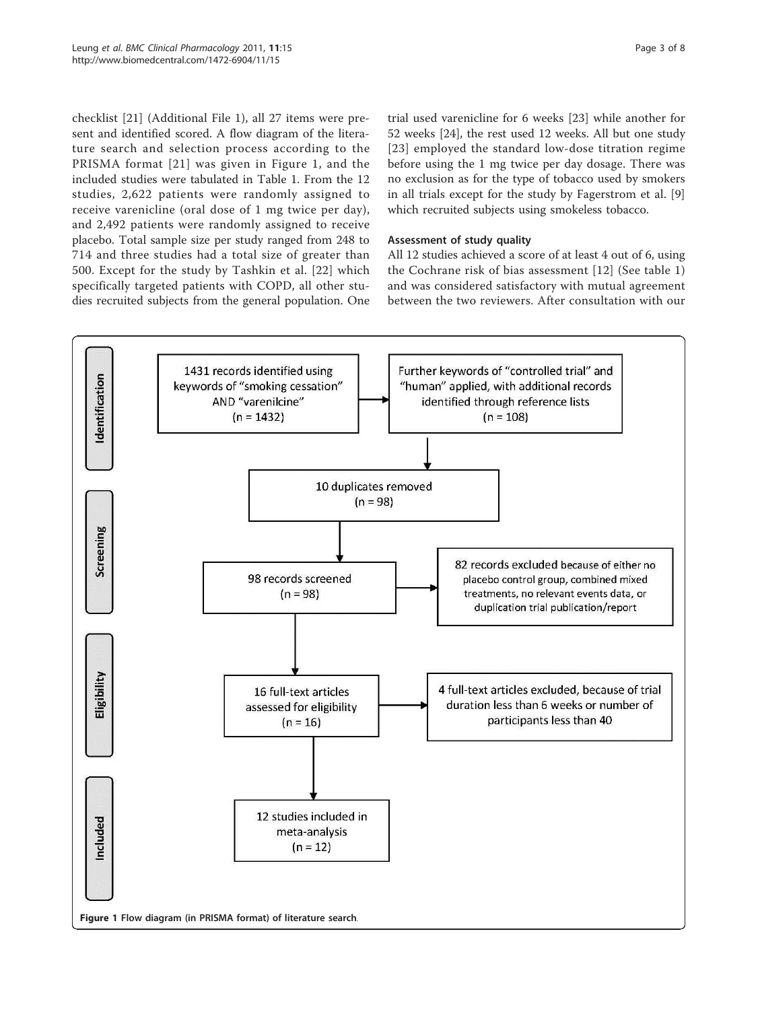checklist [\[21](#page-6-0)] (Additional File [1\)](#page-6-0), all 27 items were present and identified scored. A flow diagram of the literature search and selection process according to the PRISMA format [[21](#page-6-0)] was given in Figure 1, and the included studies were tabulated in Table [1.](#page-3-0) From the 12 studies, 2,622 patients were randomly assigned to receive varenicline (oral dose of 1 mg twice per day), and 2,492 patients were randomly assigned to receive placebo. Total sample size per study ranged from 248 to 714 and three studies had a total size of greater than

500. Except for the study by Tashkin et al. [\[22\]](#page-6-0) which specifically targeted patients with COPD, all other studies recruited subjects from the general population. One trial used varenicline for 6 weeks [[23\]](#page-6-0) while another for 52 weeks [[24](#page-6-0)], the rest used 12 weeks. All but one study [[23](#page-6-0)] employed the standard low-dose titration regime before using the 1 mg twice per day dosage. There was no exclusion as for the type of tobacco used by smokers in all trials except for the study by Fagerstrom et al. [\[9](#page-6-0)] which recruited subjects using smokeless tobacco.

## Assessment of study quality

All 12 studies achieved a score of at least 4 out of 6, using the Cochrane risk of bias assessment [[12](#page-6-0)] (See table [1](#page-3-0)) and was considered satisfactory with mutual agreement between the two reviewers. After consultation with our

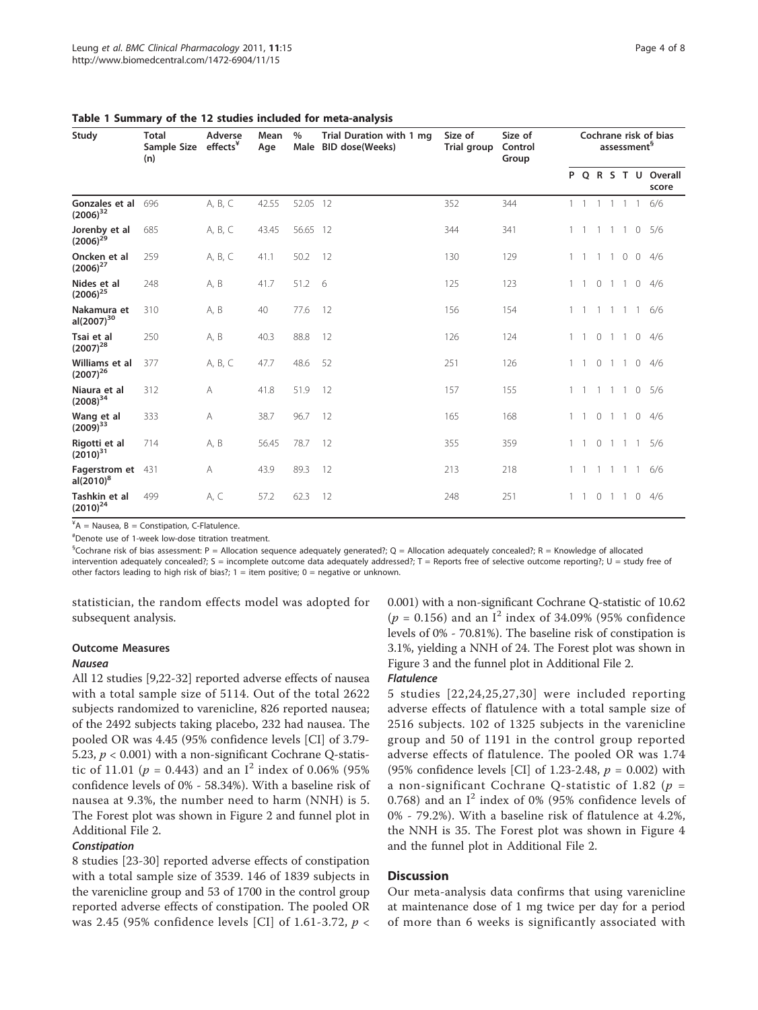| Study                                 | <b>Total</b><br>Sample Size<br>(n) | Adverse<br>effects <sup>*</sup> | Mean<br>Age | $\%$<br>Male | Trial Duration with 1 mg<br><b>BID dose(Weeks)</b> | Size of<br>Trial group | Size of<br>Control<br>Group | Cochrane risk of bias<br>assessment <sup>§</sup> |  |                |                |                |                |                              |
|---------------------------------------|------------------------------------|---------------------------------|-------------|--------------|----------------------------------------------------|------------------------|-----------------------------|--------------------------------------------------|--|----------------|----------------|----------------|----------------|------------------------------|
|                                       |                                    |                                 |             |              |                                                    |                        |                             |                                                  |  |                |                |                |                | P Q R S T U Overall<br>score |
| Gonzales et al<br>$(2006)^{32}$       | 696                                | A, B, C                         | 42.55       | 52.05 12     |                                                    | 352                    | 344                         |                                                  |  |                | -1             |                | $\overline{1}$ | 6/6                          |
| Jorenby et al<br>$(2006)^{29}$        | 685                                | A, B, C                         | 43.45       | 56.65 12     |                                                    | 344                    | 341                         |                                                  |  | $\overline{1}$ | -1             | $\overline{1}$ | $\circ$        | 5/6                          |
| Oncken et al<br>$(2006)^{27}$         | 259                                | A, B, C                         | 41.1        | 50.2         | 12                                                 | 130                    | 129                         |                                                  |  | $\overline{1}$ | $\overline{1}$ | $0\quad 0$     |                | 4/6                          |
| Nides et al<br>$(2006)^{25}$          | 248                                | A, B                            | 41.7        | 51.2         | - 6                                                | 125                    | 123                         |                                                  |  | $\circ$        | $\overline{1}$ | $\overline{1}$ | $\circ$        | 4/6                          |
| Nakamura et<br>al(2007) <sup>30</sup> | 310                                | A, B                            | 40          | 77.6         | 12                                                 | 156                    | 154                         |                                                  |  |                |                |                | -1             | 6/6                          |
| Tsai et al<br>$(2007)^{28}$           | 250                                | A, B                            | 40.3        | 88.8         | 12                                                 | 126                    | 124                         |                                                  |  | $\circ$        | -1             | $\overline{1}$ | $\circ$        | 4/6                          |
| Williams et al<br>$(2007)^{26}$       | 377                                | A, B, C                         | 47.7        | 48.6         | 52                                                 | 251                    | 126                         |                                                  |  | $\circ$        | -1             | $\overline{1}$ | $\mathbf{0}$   | 4/6                          |
| Niaura et al<br>$(2008)^{34}$         | 312                                | A                               | 41.8        | 51.9         | 12                                                 | 157                    | 155                         |                                                  |  |                |                | $\mathbf{1}$   | $\circ$        | 5/6                          |
| Wang et al<br>$(2009)^{33}$           | 333                                | A                               | 38.7        | 96.7         | 12                                                 | 165                    | 168                         |                                                  |  | $\circ$        | $\overline{1}$ | $\overline{1}$ | $\mathbf{0}$   | 4/6                          |
| Rigotti et al<br>$(2010)^{31}$        | 714                                | A, B                            | 56.45       | 78.7         | 12                                                 | 355                    | 359                         |                                                  |  | $\circ$        | $\overline{1}$ | $\overline{1}$ | $\overline{1}$ | 5/6                          |
| Fagerstrom et<br>$aI(2010)^8$         | 431                                | A                               | 43.9        | 89.3         | 12                                                 | 213                    | 218                         |                                                  |  | $\overline{1}$ | $\overline{1}$ | $\overline{1}$ | $\overline{1}$ | 6/6                          |
| Tashkin et al<br>$(2010)^{24}$        | 499                                | A, C                            | 57.2        | 62.3         | 12                                                 | 248                    | 251                         |                                                  |  | 0 <sub>1</sub> |                | $\overline{1}$ | $\circ$        | 4/6                          |

<span id="page-3-0"></span>Table 1 Summary of the 12 studies included for meta-analysis

 $A^4A$  = Nausea, B = Constipation, C-Flatulence.

# Denote use of 1-week low-dose titration treatment.

 $^{\$}$ Cochrane risk of bias assessment: P = Allocation sequence adequately generated?; Q = Allocation adequately concealed?; R = Knowledge of allocated intervention adequately concealed?; S = incomplete outcome data adequately addressed?; T = Reports free of selective outcome reporting?; U = study free of other factors leading to high risk of bias?;  $1 =$  item positive;  $0 =$  negative or unknown.

statistician, the random effects model was adopted for subsequent analysis.

## Outcome Measures

#### Nausea

All 12 studies [[9,22-](#page-6-0)[32\]](#page-7-0) reported adverse effects of nausea with a total sample size of 5114. Out of the total 2622 subjects randomized to varenicline, 826 reported nausea; of the 2492 subjects taking placebo, 232 had nausea. The pooled OR was 4.45 (95% confidence levels [CI] of 3.79- 5.23,  $p < 0.001$ ) with a non-significant Cochrane Q-statistic of 11.01 ( $p = 0.443$ ) and an I<sup>2</sup> index of 0.06% (95%) confidence levels of 0% - 58.34%). With a baseline risk of nausea at 9.3%, the number need to harm (NNH) is 5. The Forest plot was shown in Figure [2](#page-4-0) and funnel plot in Additional File [2](#page-6-0).

## **Constipation**

8 studies [\[23-](#page-6-0)[30](#page-7-0)] reported adverse effects of constipation with a total sample size of 3539. 146 of 1839 subjects in the varenicline group and 53 of 1700 in the control group reported adverse effects of constipation. The pooled OR was 2.45 (95% confidence levels [CI] of 1.61-3.72,  $p \lt \sqrt{ }$  0.001) with a non-significant Cochrane Q-statistic of 10.62  $(p = 0.156)$  and an I<sup>2</sup> index of 34.09% (95% confidence levels of 0% - 70.81%). The baseline risk of constipation is 3.1%, yielding a NNH of 24. The Forest plot was shown in Figure [3](#page-4-0) and the funnel plot in Additional File [2.](#page-6-0)

#### Flatulence

5 studies [[22,24,25](#page-6-0),[27,](#page-6-0)[30\]](#page-7-0) were included reporting adverse effects of flatulence with a total sample size of 2516 subjects. 102 of 1325 subjects in the varenicline group and 50 of 1191 in the control group reported adverse effects of flatulence. The pooled OR was 1.74 (95% confidence levels [CI] of 1.23-2.48,  $p = 0.002$ ) with a non-significant Cochrane Q-statistic of 1.82 ( $p =$ 0.768) and an  $I^2$  index of 0% (95% confidence levels of 0% - 79.2%). With a baseline risk of flatulence at 4.2%, the NNH is 35. The Forest plot was shown in Figure [4](#page-5-0) and the funnel plot in Additional File [2](#page-6-0).

## **Discussion**

Our meta-analysis data confirms that using varenicline at maintenance dose of 1 mg twice per day for a period of more than 6 weeks is significantly associated with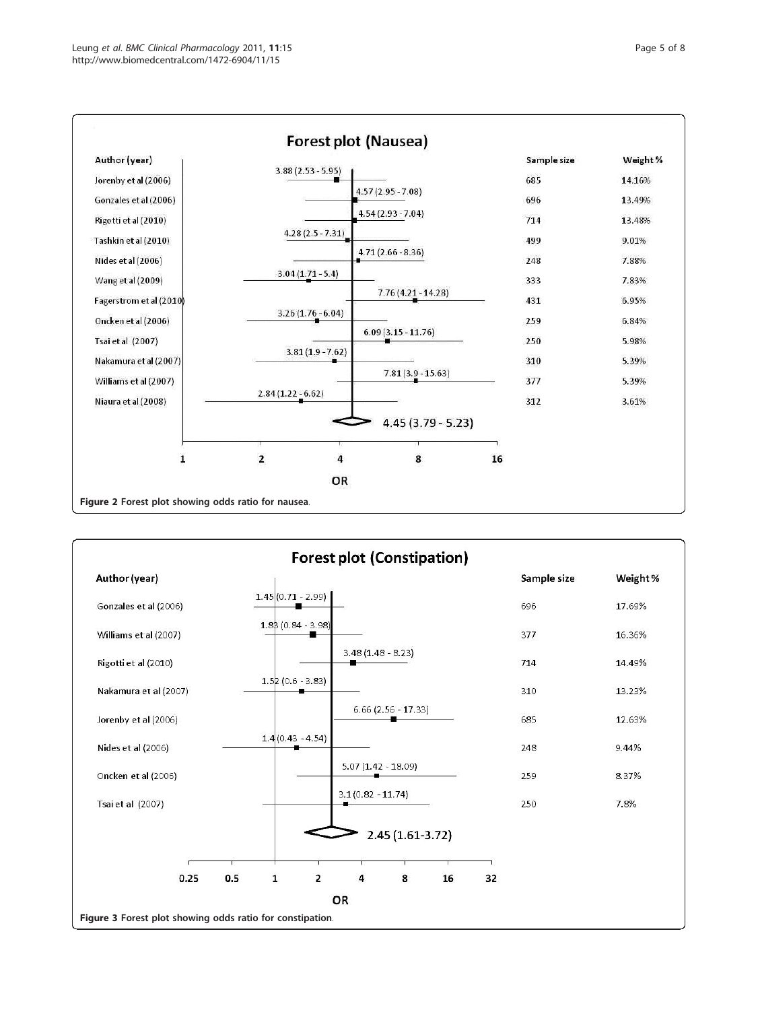<span id="page-4-0"></span>

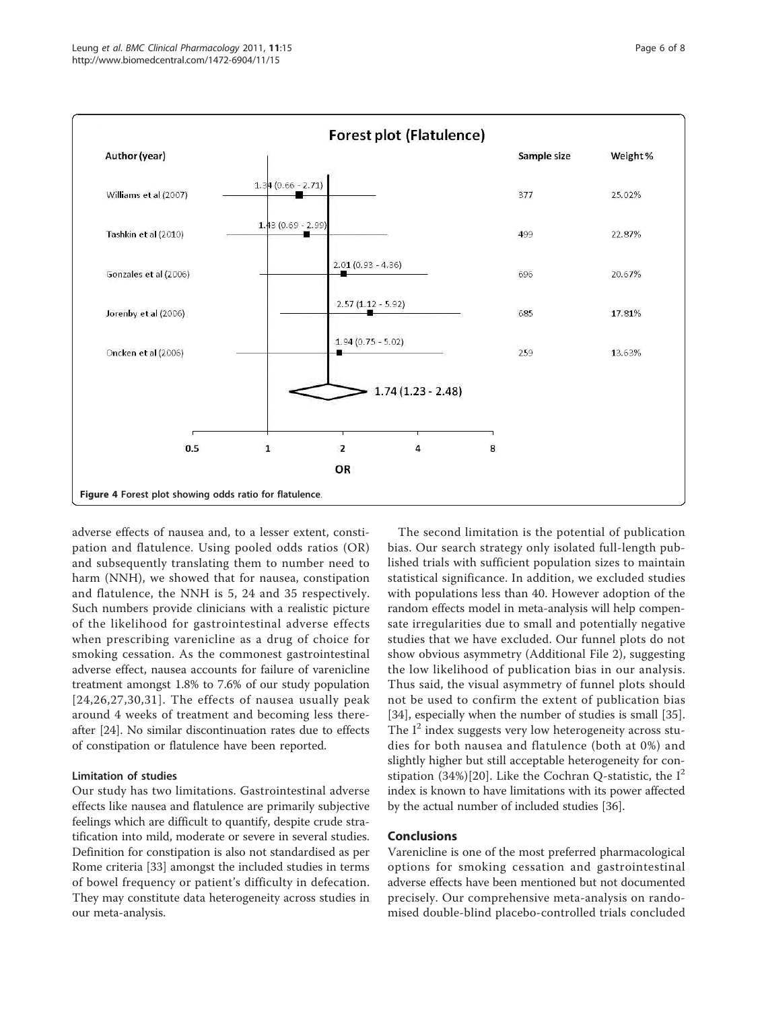<span id="page-5-0"></span>Author (year)

Williams et al (2007)

Tashkin et al (2010)

Gonzales et al (2006)

Jorenby et al (2006)

Oncken et al (2006)



685

 $250$ 

8

 $2.57(1.12 - 5.92)$ 

 $1.94(0.75 - 5.02)$ 



when prescribing varenicline as a drug of choice for smoking cessation. As the commonest gastrointestinal adverse effect, nausea accounts for failure of varenicline treatment amongst 1.8% to 7.6% of our study population [[24](#page-6-0),[26](#page-6-0),[27,](#page-6-0)[30,31](#page-7-0)]. The effects of nausea usually peak around 4 weeks of treatment and becoming less thereafter [\[24](#page-6-0)]. No similar discontinuation rates due to effects of constipation or flatulence have been reported.

## Limitation of studies

Our study has two limitations. Gastrointestinal adverse effects like nausea and flatulence are primarily subjective feelings which are difficult to quantify, despite crude stratification into mild, moderate or severe in several studies. Definition for constipation is also not standardised as per Rome criteria [\[33\]](#page-7-0) amongst the included studies in terms of bowel frequency or patient's difficulty in defecation. They may constitute data heterogeneity across studies in our meta-analysis.

The second limitation is the potential of publication bias. Our search strategy only isolated full-length published trials with sufficient population sizes to maintain statistical significance. In addition, we excluded studies with populations less than 40. However adoption of the random effects model in meta-analysis will help compensate irregularities due to small and potentially negative studies that we have excluded. Our funnel plots do not show obvious asymmetry (Additional File [2](#page-6-0)), suggesting the low likelihood of publication bias in our analysis. Thus said, the visual asymmetry of funnel plots should not be used to confirm the extent of publication bias [[34\]](#page-7-0), especially when the number of studies is small [\[35](#page-7-0)]. The  $I^2$  index suggests very low heterogeneity across studies for both nausea and flatulence (both at 0%) and slightly higher but still acceptable heterogeneity for con-stipation (34%)[\[20\]](#page-6-0). Like the Cochran Q-statistic, the  $I^2$ index is known to have limitations with its power affected by the actual number of included studies [\[36\]](#page-7-0).

## Conclusions

Varenicline is one of the most preferred pharmacological options for smoking cessation and gastrointestinal adverse effects have been mentioned but not documented precisely. Our comprehensive meta-analysis on randomised double-blind placebo-controlled trials concluded

17.81%

13.63%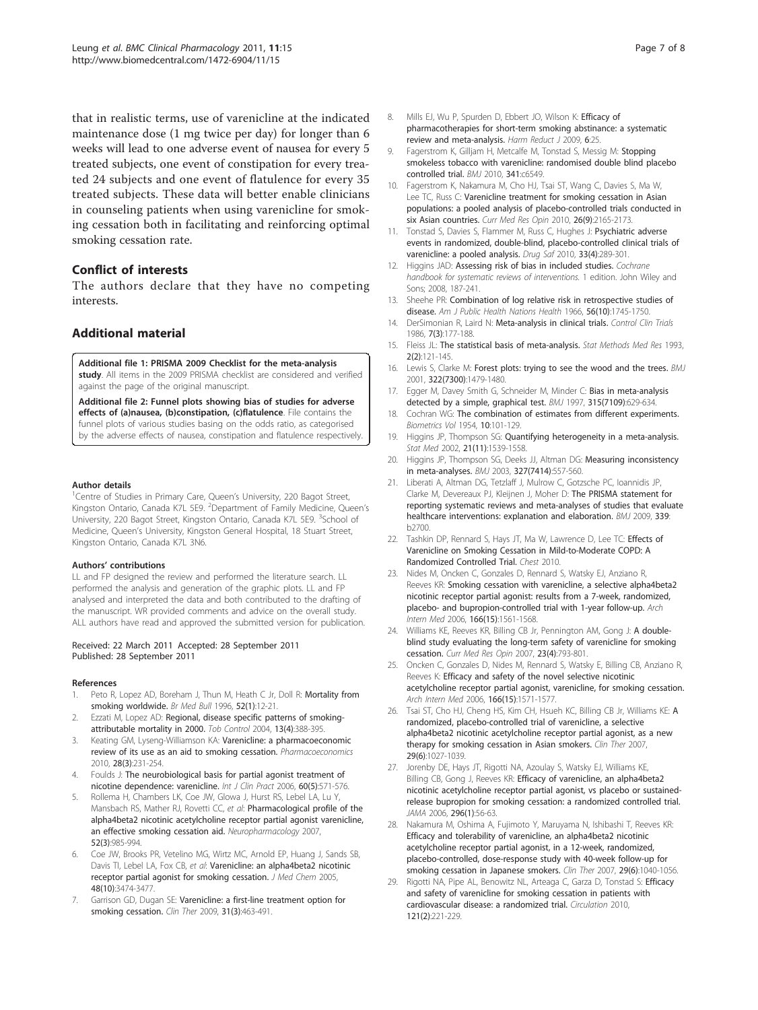<span id="page-6-0"></span>that in realistic terms, use of varenicline at the indicated maintenance dose (1 mg twice per day) for longer than 6 weeks will lead to one adverse event of nausea for every 5 treated subjects, one event of constipation for every treated 24 subjects and one event of flatulence for every 35 treated subjects. These data will better enable clinicians in counseling patients when using varenicline for smoking cessation both in facilitating and reinforcing optimal smoking cessation rate.

## Conflict of interests

The authors declare that they have no competing interests.

## Additional material

[Additional file 1: P](http://www.biomedcentral.com/content/supplementary/1472-6904-11-15-S1.DOC)RISMA 2009 Checklist for the meta-analysis study. All items in the 2009 PRISMA checklist are considered and verified against the page of the original manuscript.

[Additional file 2: F](http://www.biomedcentral.com/content/supplementary/1472-6904-11-15-S2.DOC)unnel plots showing bias of studies for adverse effects of (a)nausea, (b)constipation, (c)flatulence. File contains the funnel plots of various studies basing on the odds ratio, as categorised by the adverse effects of nausea, constipation and flatulence respectively.

#### Author details

<sup>1</sup>Centre of Studies in Primary Care, Queen's University, 220 Bagot Street, Kingston Ontario, Canada K7L 5E9. <sup>2</sup>Department of Family Medicine, Queen's University, 220 Bagot Street, Kingston Ontario, Canada K7L 5E9. <sup>3</sup>School of Medicine, Queen's University, Kingston General Hospital, 18 Stuart Street, Kingston Ontario, Canada K7L 3N6.

#### Authors' contributions

LL and FP designed the review and performed the literature search. LL performed the analysis and generation of the graphic plots. LL and FP analysed and interpreted the data and both contributed to the drafting of the manuscript. WR provided comments and advice on the overall study. ALL authors have read and approved the submitted version for publication.

#### Received: 22 March 2011 Accepted: 28 September 2011 Published: 28 September 2011

#### References

- 1. Peto R, Lopez AD, Boreham J, Thun M, Heath C Jr, Doll R: [Mortality from](http://www.ncbi.nlm.nih.gov/pubmed/8746293?dopt=Abstract) [smoking worldwide.](http://www.ncbi.nlm.nih.gov/pubmed/8746293?dopt=Abstract) Br Med Bull 1996, 52(1):12-21.
- 2. Ezzati M, Lopez AD: [Regional, disease specific patterns of smoking](http://www.ncbi.nlm.nih.gov/pubmed/15564623?dopt=Abstract)[attributable mortality in 2000.](http://www.ncbi.nlm.nih.gov/pubmed/15564623?dopt=Abstract) Tob Control 2004, 13(4):388-395.
- Keating GM, Lyseng-Williamson KA: [Varenicline: a pharmacoeconomic](http://www.ncbi.nlm.nih.gov/pubmed/20108995?dopt=Abstract) [review of its use as an aid to smoking cessation.](http://www.ncbi.nlm.nih.gov/pubmed/20108995?dopt=Abstract) Pharmacoeconomics 2010, 28(3):231-254.
- 4. Foulds J: [The neurobiological basis for partial agonist treatment of](http://www.ncbi.nlm.nih.gov/pubmed/16700857?dopt=Abstract) [nicotine dependence: varenicline.](http://www.ncbi.nlm.nih.gov/pubmed/16700857?dopt=Abstract) Int J Clin Pract 2006, 60(5):571-576.
- 5. Rollema H, Chambers LK, Coe JW, Glowa J, Hurst RS, Lebel LA, Lu Y, Mansbach RS, Mather RJ, Rovetti CC, et al: [Pharmacological profile of the](http://www.ncbi.nlm.nih.gov/pubmed/17157884?dopt=Abstract) [alpha4beta2 nicotinic acetylcholine receptor partial agonist varenicline,](http://www.ncbi.nlm.nih.gov/pubmed/17157884?dopt=Abstract) [an effective smoking cessation aid.](http://www.ncbi.nlm.nih.gov/pubmed/17157884?dopt=Abstract) Neuropharmacology 2007, 52(3):985-994.
- Coe JW, Brooks PR, Vetelino MG, Wirtz MC, Arnold EP, Huang J, Sands SB, Davis TI, Lebel LA, Fox CB, et al: [Varenicline: an alpha4beta2 nicotinic](http://www.ncbi.nlm.nih.gov/pubmed/15887955?dopt=Abstract) [receptor partial agonist for smoking cessation.](http://www.ncbi.nlm.nih.gov/pubmed/15887955?dopt=Abstract) J Med Chem 2005, 48(10):3474-3477.
- 7. Garrison GD, Dugan SE: [Varenicline: a first-line treatment option for](http://www.ncbi.nlm.nih.gov/pubmed/19393839?dopt=Abstract) [smoking cessation.](http://www.ncbi.nlm.nih.gov/pubmed/19393839?dopt=Abstract) Clin Ther 2009, 31(3):463-491.
- 8. Mills EJ, Wu P, Spurden D, Ebbert JO, Wilson K: [Efficacy of](http://www.ncbi.nlm.nih.gov/pubmed/19761618?dopt=Abstract) [pharmacotherapies for short-term smoking abstinance: a systematic](http://www.ncbi.nlm.nih.gov/pubmed/19761618?dopt=Abstract) [review and meta-analysis.](http://www.ncbi.nlm.nih.gov/pubmed/19761618?dopt=Abstract) Harm Reduct J 2009, 6:25.
- 9. Fagerstrom K, Gilljam H, Metcalfe M, Tonstad S, Messig M: [Stopping](http://www.ncbi.nlm.nih.gov/pubmed/21134997?dopt=Abstract) [smokeless tobacco with varenicline: randomised double blind placebo](http://www.ncbi.nlm.nih.gov/pubmed/21134997?dopt=Abstract) [controlled trial.](http://www.ncbi.nlm.nih.gov/pubmed/21134997?dopt=Abstract) BMJ 2010, 341:c6549.
- 10. Fagerstrom K, Nakamura M, Cho HJ, Tsai ST, Wang C, Davies S, Ma W, Lee TC, Russ C: [Varenicline treatment for smoking cessation in Asian](http://www.ncbi.nlm.nih.gov/pubmed/20666691?dopt=Abstract) [populations: a pooled analysis of placebo-controlled trials conducted in](http://www.ncbi.nlm.nih.gov/pubmed/20666691?dopt=Abstract) [six Asian countries.](http://www.ncbi.nlm.nih.gov/pubmed/20666691?dopt=Abstract) Curr Med Res Opin 2010, 26(9):2165-2173.
- 11. Tonstad S, Davies S, Flammer M, Russ C, Hughes J: [Psychiatric adverse](http://www.ncbi.nlm.nih.gov/pubmed/20297861?dopt=Abstract) [events in randomized, double-blind, placebo-controlled clinical trials of](http://www.ncbi.nlm.nih.gov/pubmed/20297861?dopt=Abstract) [varenicline: a pooled analysis.](http://www.ncbi.nlm.nih.gov/pubmed/20297861?dopt=Abstract) Drug Saf 2010, 33(4):289-301
- 12. Higgins JAD: Assessing risk of bias in included studies. Cochrane handbook for systematic reviews of interventions. 1 edition. John Wiley and Sons; 2008, 187-241.
- 13. Sheehe PR: [Combination of log relative risk in retrospective studies of](http://www.ncbi.nlm.nih.gov/pubmed/5951494?dopt=Abstract) [disease.](http://www.ncbi.nlm.nih.gov/pubmed/5951494?dopt=Abstract) Am J Public Health Nations Health 1966, 56(10):1745-1750.
- 14. DerSimonian R, Laird N: [Meta-analysis in clinical trials.](http://www.ncbi.nlm.nih.gov/pubmed/3802833?dopt=Abstract) Control Clin Trials 1986, 7(3):177-188.
- 15. Fleiss JL: [The statistical basis of meta-analysis.](http://www.ncbi.nlm.nih.gov/pubmed/8261254?dopt=Abstract) Stat Methods Med Res 1993, 2(2):121-145.
- 16. Lewis S, Clarke M: [Forest plots: trying to see the wood and the trees.](http://www.ncbi.nlm.nih.gov/pubmed/11408310?dopt=Abstract) BMJ 2001, 322(7300):1479-1480.
- 17. Egger M, Davey Smith G, Schneider M, Minder C: [Bias in meta-analysis](http://www.ncbi.nlm.nih.gov/pubmed/9310563?dopt=Abstract) [detected by a simple, graphical test.](http://www.ncbi.nlm.nih.gov/pubmed/9310563?dopt=Abstract) BMJ 1997, 315(7109):629-634.
- 18. Cochran WG: The combination of estimates from different experiments. Biometrics Vol 1954, 10:101-129.
- 19. Higgins JP, Thompson SG: [Quantifying heterogeneity in a meta-analysis.](http://www.ncbi.nlm.nih.gov/pubmed/12111919?dopt=Abstract) Stat Med 2002, 21(11):1539-1558.
- 20. Higgins JP, Thompson SG, Deeks JJ, Altman DG: [Measuring inconsistency](http://www.ncbi.nlm.nih.gov/pubmed/12958120?dopt=Abstract) [in meta-analyses.](http://www.ncbi.nlm.nih.gov/pubmed/12958120?dopt=Abstract) BMJ 2003, 327(7414):557-560.
- 21. Liberati A, Altman DG, Tetzlaff J, Mulrow C, Gotzsche PC, Ioannidis JP, Clarke M, Devereaux PJ, Kleijnen J, Moher D: [The PRISMA statement for](http://www.ncbi.nlm.nih.gov/pubmed/19622552?dopt=Abstract) [reporting systematic reviews and meta-analyses of studies that evaluate](http://www.ncbi.nlm.nih.gov/pubmed/19622552?dopt=Abstract) [healthcare interventions: explanation and elaboration.](http://www.ncbi.nlm.nih.gov/pubmed/19622552?dopt=Abstract) BMJ 2009, 339: b2700.
- 22. Tashkin DP, Rennard S, Hays JT, Ma W, Lawrence D, Lee TC: Effects of Varenicline on Smoking Cessation in Mild-to-Moderate COPD: A Randomized Controlled Trial. Chest 2010.
- 23. Nides M, Oncken C, Gonzales D, Rennard S, Watsky EJ, Anziano R, Reeves KR: [Smoking cessation with varenicline, a selective alpha4beta2](http://www.ncbi.nlm.nih.gov/pubmed/16908788?dopt=Abstract) [nicotinic receptor partial agonist: results from a 7-week, randomized,](http://www.ncbi.nlm.nih.gov/pubmed/16908788?dopt=Abstract) [placebo- and bupropion-controlled trial with 1-year follow-up.](http://www.ncbi.nlm.nih.gov/pubmed/16908788?dopt=Abstract) Arch Intern Med 2006, 166(15):1561-1568.
- 24. Williams KE, Reeves KR, Billing CB Jr, Pennington AM, Gong J: [A double](http://www.ncbi.nlm.nih.gov/pubmed/17407636?dopt=Abstract)[blind study evaluating the long-term safety of varenicline for smoking](http://www.ncbi.nlm.nih.gov/pubmed/17407636?dopt=Abstract) [cessation.](http://www.ncbi.nlm.nih.gov/pubmed/17407636?dopt=Abstract) Curr Med Res Opin 2007, 23(4):793-801.
- 25. Oncken C, Gonzales D, Nides M, Rennard S, Watsky E, Billing CB, Anziano R, Reeves K: [Efficacy and safety of the novel selective nicotinic](http://www.ncbi.nlm.nih.gov/pubmed/16908789?dopt=Abstract) [acetylcholine receptor partial agonist, varenicline, for smoking cessation.](http://www.ncbi.nlm.nih.gov/pubmed/16908789?dopt=Abstract) Arch Intern Med 2006, 166(15):1571-1577
- 26. Tsai ST, Cho HJ, Cheng HS, Kim CH, Hsueh KC, Billing CB Jr, Williams KE: [A](http://www.ncbi.nlm.nih.gov/pubmed/17692719?dopt=Abstract) [randomized, placebo-controlled trial of varenicline, a selective](http://www.ncbi.nlm.nih.gov/pubmed/17692719?dopt=Abstract) [alpha4beta2 nicotinic acetylcholine receptor partial agonist, as a new](http://www.ncbi.nlm.nih.gov/pubmed/17692719?dopt=Abstract) [therapy for smoking cessation in Asian smokers.](http://www.ncbi.nlm.nih.gov/pubmed/17692719?dopt=Abstract) Clin Ther 2007, 29(6):1027-1039.
- 27. Jorenby DE, Hays JT, Rigotti NA, Azoulay S, Watsky EJ, Williams KE, Billing CB, Gong J, Reeves KR: [Efficacy of varenicline, an alpha4beta2](http://www.ncbi.nlm.nih.gov/pubmed/16820547?dopt=Abstract) [nicotinic acetylcholine receptor partial agonist, vs placebo or sustained](http://www.ncbi.nlm.nih.gov/pubmed/16820547?dopt=Abstract)[release bupropion for smoking cessation: a randomized controlled trial.](http://www.ncbi.nlm.nih.gov/pubmed/16820547?dopt=Abstract) JAMA 2006, 296(1):56-63.
- 28. Nakamura M, Oshima A, Fujimoto Y, Maruyama N, Ishibashi T, Reeves KR: [Efficacy and tolerability of varenicline, an alpha4beta2 nicotinic](http://www.ncbi.nlm.nih.gov/pubmed/17692720?dopt=Abstract) [acetylcholine receptor partial agonist, in a 12-week, randomized,](http://www.ncbi.nlm.nih.gov/pubmed/17692720?dopt=Abstract) [placebo-controlled, dose-response study with 40-week follow-up for](http://www.ncbi.nlm.nih.gov/pubmed/17692720?dopt=Abstract) [smoking cessation in Japanese smokers.](http://www.ncbi.nlm.nih.gov/pubmed/17692720?dopt=Abstract) Clin Ther 2007, 29(6):1040-1056.
- Rigotti NA, Pipe AL, Benowitz NL, Arteaga C, Garza D, Tonstad S: [Efficacy](http://www.ncbi.nlm.nih.gov/pubmed/20048210?dopt=Abstract) [and safety of varenicline for smoking cessation in patients with](http://www.ncbi.nlm.nih.gov/pubmed/20048210?dopt=Abstract) [cardiovascular disease: a randomized trial.](http://www.ncbi.nlm.nih.gov/pubmed/20048210?dopt=Abstract) Circulation 2010, 121(2):221-229.